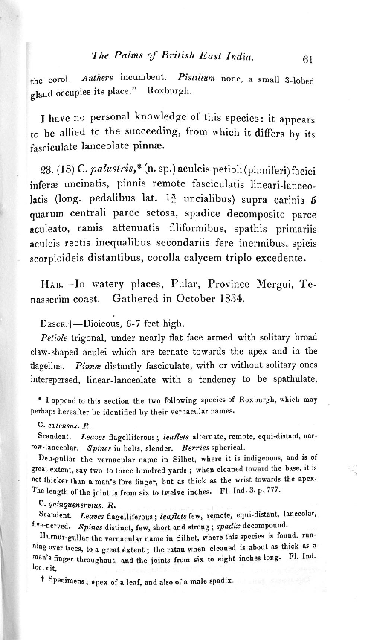•

## *The Palms of British East India.* 61

the corol. Anthers incumbent. Pistillum none, a small 3-lobed gland occupies its place." Roxburgh.

I have no personal knowledge of this species: it appears to be allied to the succeeding, from which it differs by its fasciculate lanceolate pinnæ.

28. (18) C. *palustris*,\* (n. sp.) aculeis petioli (pinniferi) faciei inferæ uncinatis, pinnis remote fasciculatis lineari-lanceolatis (long. pedalibus lat.  $1\frac{5}{4}$  uncialibus) supra carinis 5 quarum centrali parce setosa, spadice decomposito parce aculeato, ramis attenuatis filiformibus, spathis primariis aculeis rectis inequalibus secondariis fere incrmibus, spicis scorpioideis distantibus, corolla calycem triplo excedente.

 $H_{AB}$ .-In watery places, Pular, Province Mergui, Tenasserim coast. Gathered in October 1834.

DESCR.<sup>+</sup>-Dioicous, 6-7 feet high.

Scandent. *Leaves* flagelliferous; leaflets alternate, remote, equi-distant, nar-TOw.lanceolar. *Spines* in belts. slender. *Berries* spherical.

Deu.gullar the vernacular name in Silhet. where it is indigenous, and is of great extent, say two to three hundred yards; when cleaned toward the base, it is not thicker than a man's fore finger, but as thick as the wrist towards the apex. The length of the joint is from six to twelve inches. Fl. Ind. 3. p. 777.

*Petiole* trigonal, under nearly flat face armed with solitary broad claw-shaped aculei which arc ternate towards the apex and in the flagellus. *Pinnæ* distantly fasciculate, with or without solitary ones interspersed. linear-lanceolate with a tendency to be spathulate,

• I append to this section the two following species of Roxburgh, which may perhaps hereafter be identified by their vernacular names.

Hurnur-gullar the vernacular name in Silhet, where this species is found. running over trees, to a great extent; the ratan when cleaned is about as thick as a man's finger throughout, and the joints from six to eight inches long. Fl. Ind. loe. cit.

t Specimens; apex of a leaf, and also of a male spadix.

C. *erlel/sus. R.*

C. *quinquenervius. R.*

Scandent. Leaves flagelliferous; leaflets few, remote, equi-distant, lanceolar, five-nerved. Spines distinct, few, short and strong; spadix decompound.

•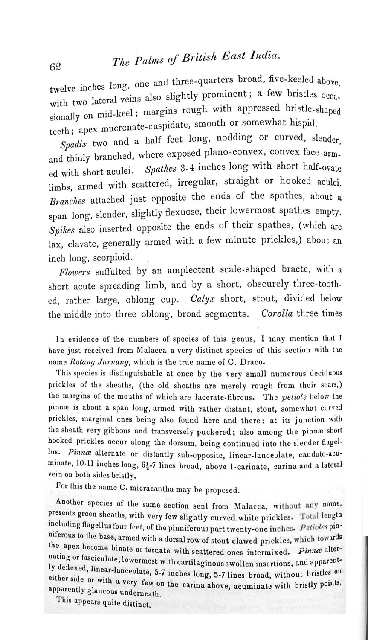62

twelve inches long, one and three-quarters broad, five-keeled above, with two lateral veins also slightly prominent; a few bristles occasionally on mid-keel; margins rough with appressed bristle-shaped teeth; apex mucronate-cuspidate, smooth or somewhat hispid.

## *<sup>1118</sup> Palms 0/ Britislt East ludia.*

Spadix two and a half feet long, nodding or curved, slender, and thinly branched, where exposed plano-convex, convex face armed with short aculei. *Spathes* 3-4 inches long with short half-ovate limbs, armed with scattered, irregular. straight or hooked aculei. *Branches* attached just opposite the ends of the spathes, about a span long. slender, slightly flexuose, their lowermost spathes empty. *Spikes* also inserted opposite the ends of their spathes, (which are lax, clavate, generally armed with a few minute prickles,) about an inch long, scorpioid.

*Flowers* suffulted by an amplectent scale-shaped bracte, with a short acute spreading limb, and by a short. obscurely three-toothed, rather large, oblong cup. *Calyx* short, stout, divided below the middle into three oblong, broad segments. *Corolla* three times

In evidence of the numbers of species of this genus, I may mention that I have just received from Malacca a very distinct species of this section with the name Rotang Jarnang, which is the true name of C. Draco.

This species is distinguishable at once by the very small numerous deciduous prickles of the sheaths, (the old sheaths are merely rough from their scars,) the margins of the mouths of which are lacerate-fibrous. The *petiole* below the pinnæ is about a span long, armed with rather distant, stout, somewhat curved prickles, marginal ones being also found here and there: at its junction with the sheath very gibbous and transversely puckered; also among the pinnæ short hooked prickles occur along the dorsum, being continued into the slender flagellus. Pinnæ alternate or distantly sub-opposite, linear-lanceolate, caudato-acuminate, 10-11 inches long, 61-7 lines broad, above 1-carinate, carina and a lateral vein on both sides bristly.

For this the name C. micracantha may be proposed.

Another species of the same section sent from Malacca, without any name, presents green sheaths, with very few slightly curved white prickles. Total length including flagellus four feet, of the pinniferous part twenty-one inches. Petioles pin-Example Integrals four feet, of the pinniferous part twenty-one inches. *Petioles* pin-<br>iferous to the base, armed with a dorsal row of stout clawed prickles, which towards niferous to the base, armed with a dorsal row of stout clawed prickles, which towards<br>the apex become binate or ternate with scattered ones intermixed. Pinnæ alterthe apex become binate or ternate with scattered ones intermixed. Pinnæ alternating or fasciculate, lowermost with cartilaginous swollen insertions, and apparently deflexed, linear-lanceolate, 5-7 inches long, 5-7 lines broad, without bristles on either side or with a very few on the carina above, acuminate with bristly points, apparently glaucous underneath.

This appears quite distinct.